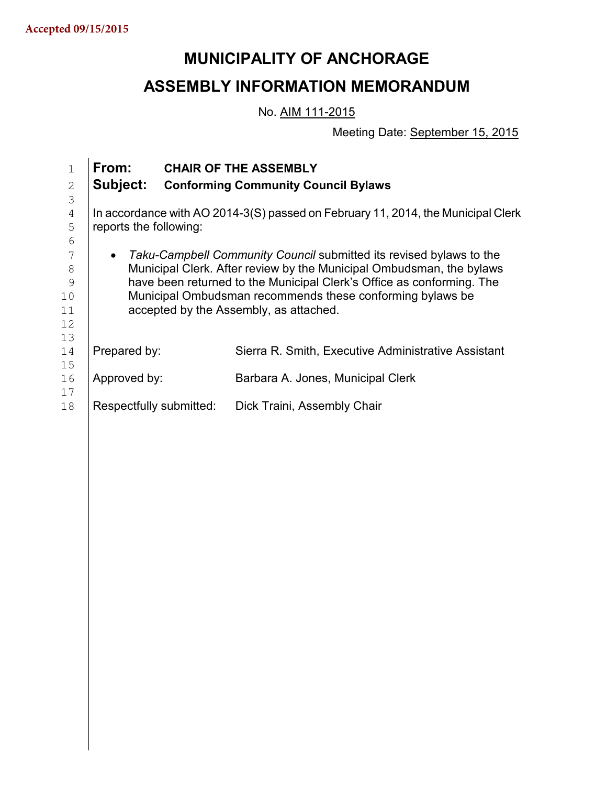# **MUNICIPALITY OF ANCHORAGE**

# **ASSEMBLY INFORMATION MEMORANDUM**

No. AIM 111-2015

Meeting Date: September 15, 2015

| $\mathbf{1}$<br>$\mathbf{2}$ | From:<br>Subject:                                                                |  | <b>CHAIR OF THE ASSEMBLY</b><br><b>Conforming Community Council Bylaws</b> |
|------------------------------|----------------------------------------------------------------------------------|--|----------------------------------------------------------------------------|
| 3                            |                                                                                  |  |                                                                            |
| $\overline{4}$               | In accordance with AO 2014-3(S) passed on February 11, 2014, the Municipal Clerk |  |                                                                            |
| 5                            | reports the following:                                                           |  |                                                                            |
| 6                            |                                                                                  |  |                                                                            |
| 7                            | Taku-Campbell Community Council submitted its revised bylaws to the<br>$\bullet$ |  |                                                                            |
| 8                            | Municipal Clerk. After review by the Municipal Ombudsman, the bylaws             |  |                                                                            |
| 9                            | have been returned to the Municipal Clerk's Office as conforming. The            |  |                                                                            |
| 10                           | Municipal Ombudsman recommends these conforming bylaws be                        |  |                                                                            |
| 11                           | accepted by the Assembly, as attached.                                           |  |                                                                            |
| 12                           |                                                                                  |  |                                                                            |
| 13                           |                                                                                  |  |                                                                            |
| 14                           | Prepared by:                                                                     |  | Sierra R. Smith, Executive Administrative Assistant                        |
| 15<br>16                     | Approved by:                                                                     |  | Barbara A. Jones, Municipal Clerk                                          |
| 17                           |                                                                                  |  |                                                                            |
| 18                           | Respectfully submitted:                                                          |  | Dick Traini, Assembly Chair                                                |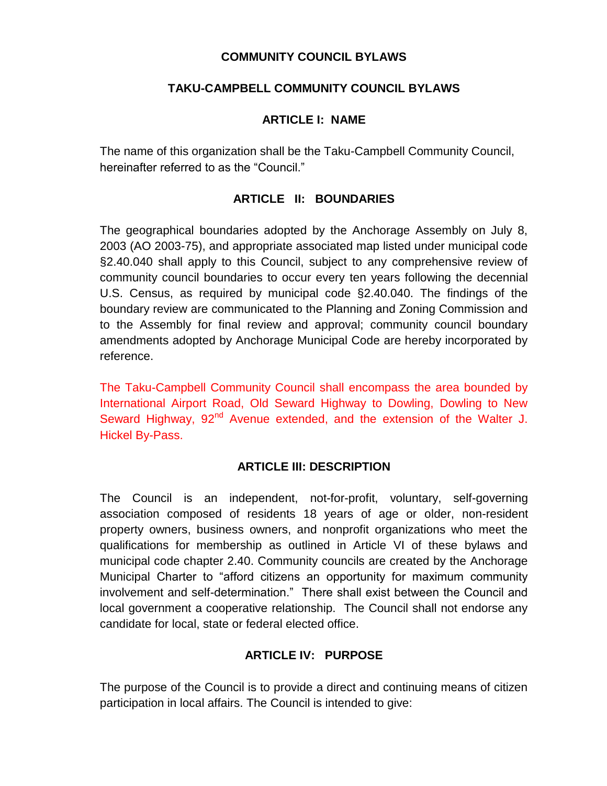#### **COMMUNITY COUNCIL BYLAWS**

### **TAKU-CAMPBELL COMMUNITY COUNCIL BYLAWS**

#### **ARTICLE I: NAME**

The name of this organization shall be the Taku-Campbell Community Council, hereinafter referred to as the "Council."

### **ARTICLE II: BOUNDARIES**

The geographical boundaries adopted by the Anchorage Assembly on July 8, 2003 (AO 2003-75), and appropriate associated map listed under municipal code §2.40.040 shall apply to this Council, subject to any comprehensive review of community council boundaries to occur every ten years following the decennial U.S. Census, as required by municipal code §2.40.040. The findings of the boundary review are communicated to the Planning and Zoning Commission and to the Assembly for final review and approval; community council boundary amendments adopted by Anchorage Municipal Code are hereby incorporated by reference.

The Taku-Campbell Community Council shall encompass the area bounded by International Airport Road, Old Seward Highway to Dowling, Dowling to New Seward Highway, 92<sup>nd</sup> Avenue extended, and the extension of the Walter J. Hickel By-Pass.

#### **ARTICLE III: DESCRIPTION**

The Council is an independent, not-for-profit, voluntary, self-governing association composed of residents 18 years of age or older, non-resident property owners, business owners, and nonprofit organizations who meet the qualifications for membership as outlined in Article VI of these bylaws and municipal code chapter 2.40. Community councils are created by the Anchorage Municipal Charter to "afford citizens an opportunity for maximum community involvement and self-determination." There shall exist between the Council and local government a cooperative relationship. The Council shall not endorse any candidate for local, state or federal elected office.

### **ARTICLE IV: PURPOSE**

The purpose of the Council is to provide a direct and continuing means of citizen participation in local affairs. The Council is intended to give: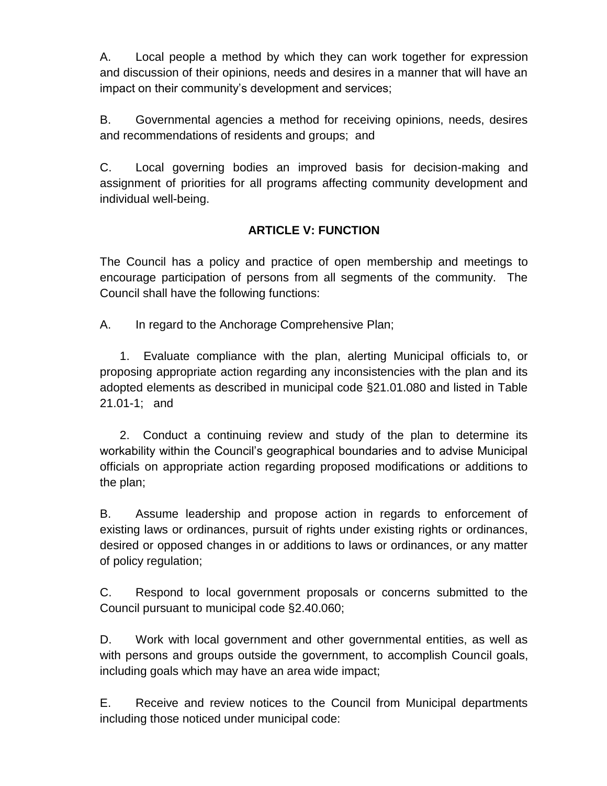A. Local people a method by which they can work together for expression and discussion of their opinions, needs and desires in a manner that will have an impact on their community's development and services;

B. Governmental agencies a method for receiving opinions, needs, desires and recommendations of residents and groups; and

C. Local governing bodies an improved basis for decision-making and assignment of priorities for all programs affecting community development and individual well-being.

# **ARTICLE V: FUNCTION**

The Council has a policy and practice of open membership and meetings to encourage participation of persons from all segments of the community. The Council shall have the following functions:

A. In regard to the Anchorage Comprehensive Plan;

 1. Evaluate compliance with the plan, alerting Municipal officials to, or proposing appropriate action regarding any inconsistencies with the plan and its adopted elements as described in municipal code §21.01.080 and listed in Table 21.01-1; and

 2. Conduct a continuing review and study of the plan to determine its workability within the Council's geographical boundaries and to advise Municipal officials on appropriate action regarding proposed modifications or additions to the plan;

B. Assume leadership and propose action in regards to enforcement of existing laws or ordinances, pursuit of rights under existing rights or ordinances, desired or opposed changes in or additions to laws or ordinances, or any matter of policy regulation;

C. Respond to local government proposals or concerns submitted to the Council pursuant to municipal code §2.40.060;

D. Work with local government and other governmental entities, as well as with persons and groups outside the government, to accomplish Council goals, including goals which may have an area wide impact;

E. Receive and review notices to the Council from Municipal departments including those noticed under municipal code: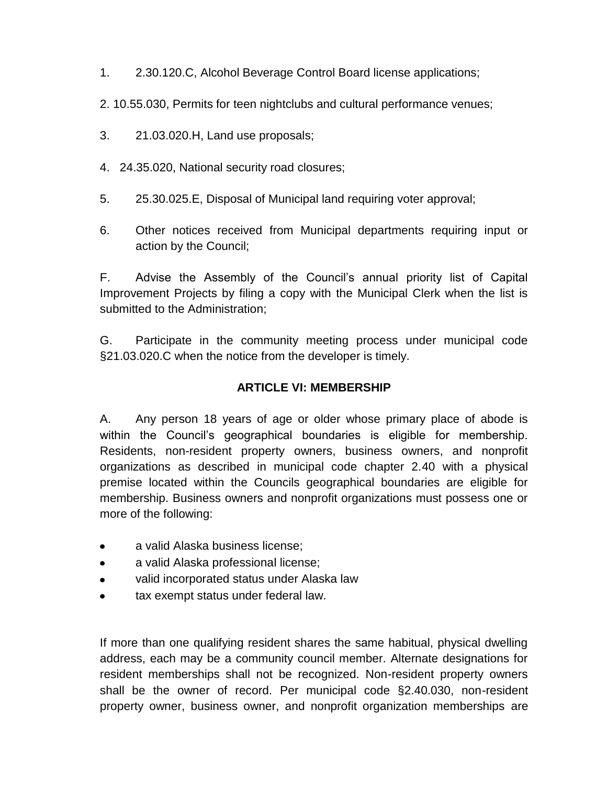- 1. 2.30.120.C, Alcohol Beverage Control Board license applications;
- 2. 10.55.030, Permits for teen nightclubs and cultural performance venues;
- 3. 21.03.020.H, Land use proposals;
- 4. 24.35.020, National security road closures;
- 5. 25.30.025.E, Disposal of Municipal land requiring voter approval;
- 6. Other notices received from Municipal departments requiring input or action by the Council;

F. Advise the Assembly of the Council's annual priority list of Capital Improvement Projects by filing a copy with the Municipal Clerk when the list is submitted to the Administration;

G. Participate in the community meeting process under municipal code §21.03.020.C when the notice from the developer is timely.

#### **ARTICLE VI: MEMBERSHIP**

A. Any person 18 years of age or older whose primary place of abode is within the Council's geographical boundaries is eligible for membership. Residents, non-resident property owners, business owners, and nonprofit organizations as described in municipal code chapter 2.40 with a physical premise located within the Councils geographical boundaries are eligible for membership. Business owners and nonprofit organizations must possess one or more of the following:

- a valid Alaska business license;  $\bullet$
- a valid Alaska professional license;  $\bullet$
- valid incorporated status under Alaska law
- tax exempt status under federal law.

If more than one qualifying resident shares the same habitual, physical dwelling address, each may be a community council member. Alternate designations for resident memberships shall not be recognized. Non-resident property owners shall be the owner of record. Per municipal code §2.40.030, non-resident property owner, business owner, and nonprofit organization memberships are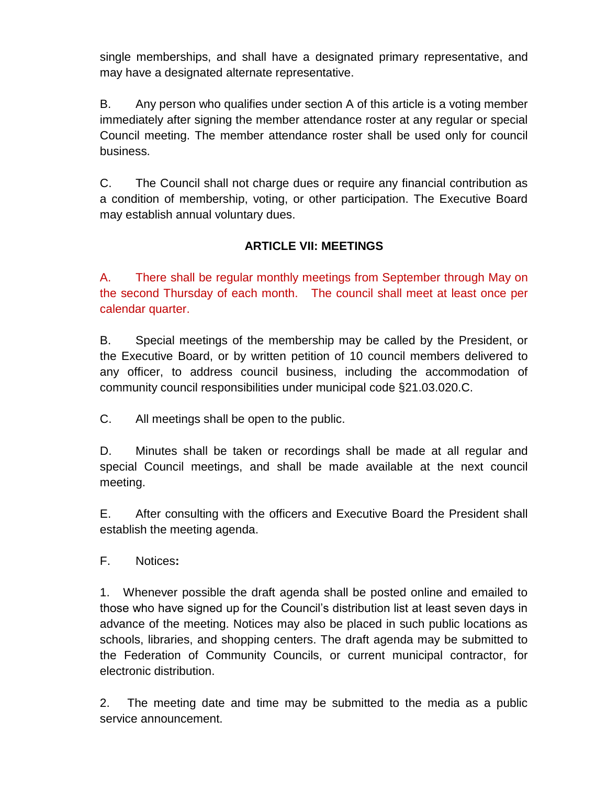single memberships, and shall have a designated primary representative, and may have a designated alternate representative.

B. Any person who qualifies under section A of this article is a voting member immediately after signing the member attendance roster at any regular or special Council meeting. The member attendance roster shall be used only for council business.

C. The Council shall not charge dues or require any financial contribution as a condition of membership, voting, or other participation. The Executive Board may establish annual voluntary dues.

# **ARTICLE VII: MEETINGS**

A. There shall be regular monthly meetings from September through May on the second Thursday of each month. The council shall meet at least once per calendar quarter.

B. Special meetings of the membership may be called by the President, or the Executive Board, or by written petition of 10 council members delivered to any officer, to address council business, including the accommodation of community council responsibilities under municipal code §21.03.020.C.

C. All meetings shall be open to the public.

D. Minutes shall be taken or recordings shall be made at all regular and special Council meetings, and shall be made available at the next council meeting.

E. After consulting with the officers and Executive Board the President shall establish the meeting agenda.

F. Notices**:**

1. Whenever possible the draft agenda shall be posted online and emailed to those who have signed up for the Council's distribution list at least seven days in advance of the meeting. Notices may also be placed in such public locations as schools, libraries, and shopping centers. The draft agenda may be submitted to the Federation of Community Councils, or current municipal contractor, for electronic distribution.

2. The meeting date and time may be submitted to the media as a public service announcement.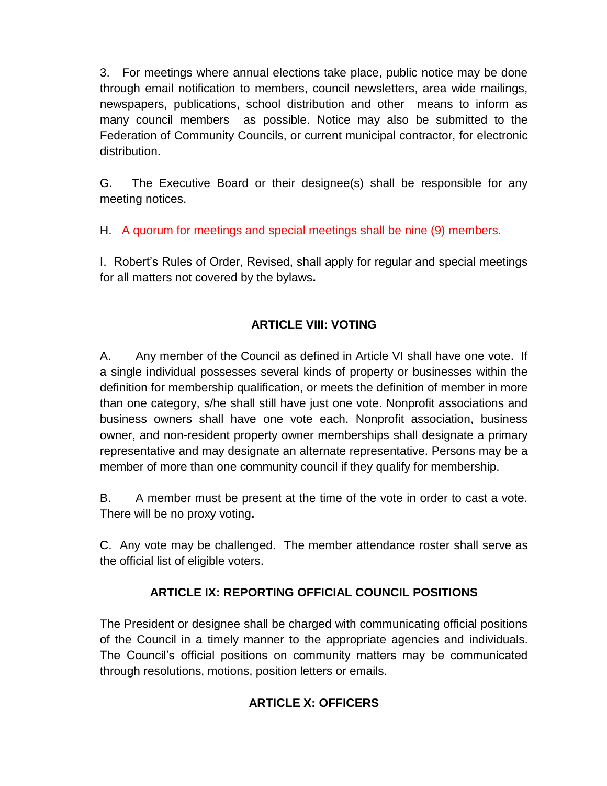3. For meetings where annual elections take place, public notice may be done through email notification to members, council newsletters, area wide mailings, newspapers, publications, school distribution and other means to inform as many council members as possible. Notice may also be submitted to the Federation of Community Councils, or current municipal contractor, for electronic distribution.

G. The Executive Board or their designee(s) shall be responsible for any meeting notices.

H. A quorum for meetings and special meetings shall be nine (9) members.

I. Robert's Rules of Order, Revised, shall apply for regular and special meetings for all matters not covered by the bylaws**.** 

# **ARTICLE VIII: VOTING**

A. Any member of the Council as defined in Article VI shall have one vote. If a single individual possesses several kinds of property or businesses within the definition for membership qualification, or meets the definition of member in more than one category, s/he shall still have just one vote. Nonprofit associations and business owners shall have one vote each. Nonprofit association, business owner, and non-resident property owner memberships shall designate a primary representative and may designate an alternate representative. Persons may be a member of more than one community council if they qualify for membership.

B. A member must be present at the time of the vote in order to cast a vote. There will be no proxy voting**.** 

C. Any vote may be challenged. The member attendance roster shall serve as the official list of eligible voters.

### **ARTICLE IX: REPORTING OFFICIAL COUNCIL POSITIONS**

The President or designee shall be charged with communicating official positions of the Council in a timely manner to the appropriate agencies and individuals. The Council's official positions on community matters may be communicated through resolutions, motions, position letters or emails.

# **ARTICLE X: OFFICERS**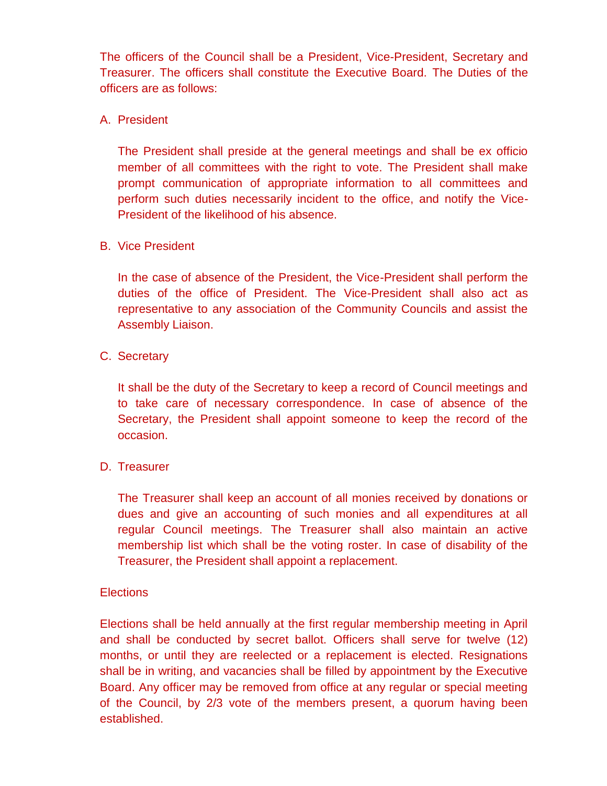The officers of the Council shall be a President, Vice-President, Secretary and Treasurer. The officers shall constitute the Executive Board. The Duties of the officers are as follows:

### A. President

The President shall preside at the general meetings and shall be ex officio member of all committees with the right to vote. The President shall make prompt communication of appropriate information to all committees and perform such duties necessarily incident to the office, and notify the Vice-President of the likelihood of his absence.

#### B. Vice President

In the case of absence of the President, the Vice-President shall perform the duties of the office of President. The Vice-President shall also act as representative to any association of the Community Councils and assist the Assembly Liaison.

### C. Secretary

It shall be the duty of the Secretary to keep a record of Council meetings and to take care of necessary correspondence. In case of absence of the Secretary, the President shall appoint someone to keep the record of the occasion.

### D. Treasurer

The Treasurer shall keep an account of all monies received by donations or dues and give an accounting of such monies and all expenditures at all regular Council meetings. The Treasurer shall also maintain an active membership list which shall be the voting roster. In case of disability of the Treasurer, the President shall appoint a replacement.

#### **Elections**

Elections shall be held annually at the first regular membership meeting in April and shall be conducted by secret ballot. Officers shall serve for twelve (12) months, or until they are reelected or a replacement is elected. Resignations shall be in writing, and vacancies shall be filled by appointment by the Executive Board. Any officer may be removed from office at any regular or special meeting of the Council, by 2/3 vote of the members present, a quorum having been established.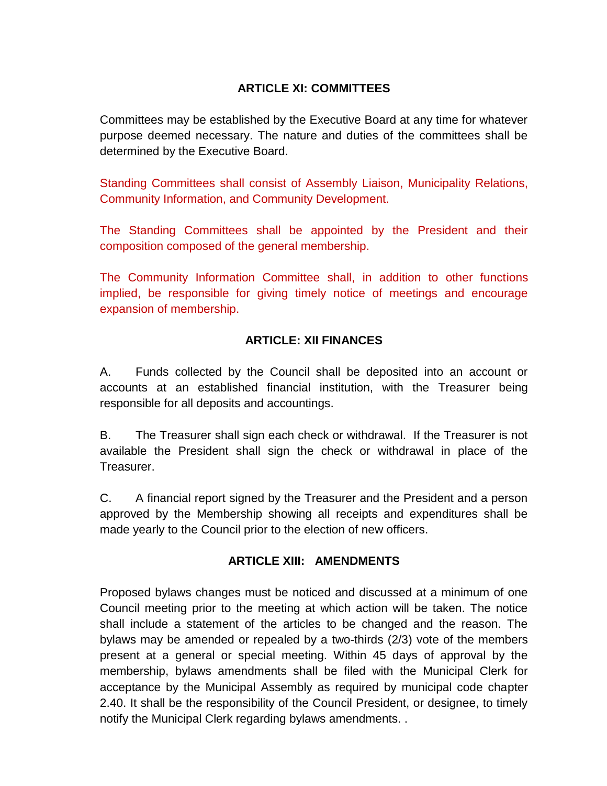# **ARTICLE XI: COMMITTEES**

Committees may be established by the Executive Board at any time for whatever purpose deemed necessary. The nature and duties of the committees shall be determined by the Executive Board.

Standing Committees shall consist of Assembly Liaison, Municipality Relations, Community Information, and Community Development.

The Standing Committees shall be appointed by the President and their composition composed of the general membership.

The Community Information Committee shall, in addition to other functions implied, be responsible for giving timely notice of meetings and encourage expansion of membership.

### **ARTICLE: XII FINANCES**

A. Funds collected by the Council shall be deposited into an account or accounts at an established financial institution, with the Treasurer being responsible for all deposits and accountings.

B. The Treasurer shall sign each check or withdrawal. If the Treasurer is not available the President shall sign the check or withdrawal in place of the Treasurer.

C. A financial report signed by the Treasurer and the President and a person approved by the Membership showing all receipts and expenditures shall be made yearly to the Council prior to the election of new officers.

#### **ARTICLE XIII: AMENDMENTS**

Proposed bylaws changes must be noticed and discussed at a minimum of one Council meeting prior to the meeting at which action will be taken. The notice shall include a statement of the articles to be changed and the reason. The bylaws may be amended or repealed by a two-thirds (2/3) vote of the members present at a general or special meeting. Within 45 days of approval by the membership, bylaws amendments shall be filed with the Municipal Clerk for acceptance by the Municipal Assembly as required by municipal code chapter 2.40. It shall be the responsibility of the Council President, or designee, to timely notify the Municipal Clerk regarding bylaws amendments. .